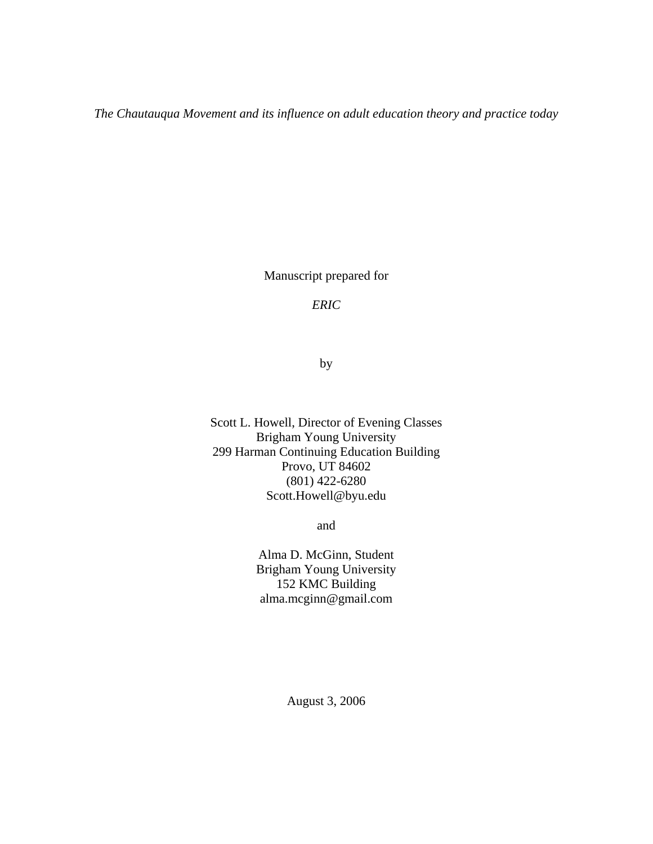*The Chautauqua Movement and its influence on adult education theory and practice today* 

Manuscript prepared for

*ERIC*

by

Scott L. Howell, Director of Evening Classes Brigham Young University 299 Harman Continuing Education Building Provo, UT 84602 (801) 422-6280 Scott.Howell@byu.edu

and

Alma D. McGinn, Student Brigham Young University 152 KMC Building alma.mcginn@gmail.com

August 3, 2006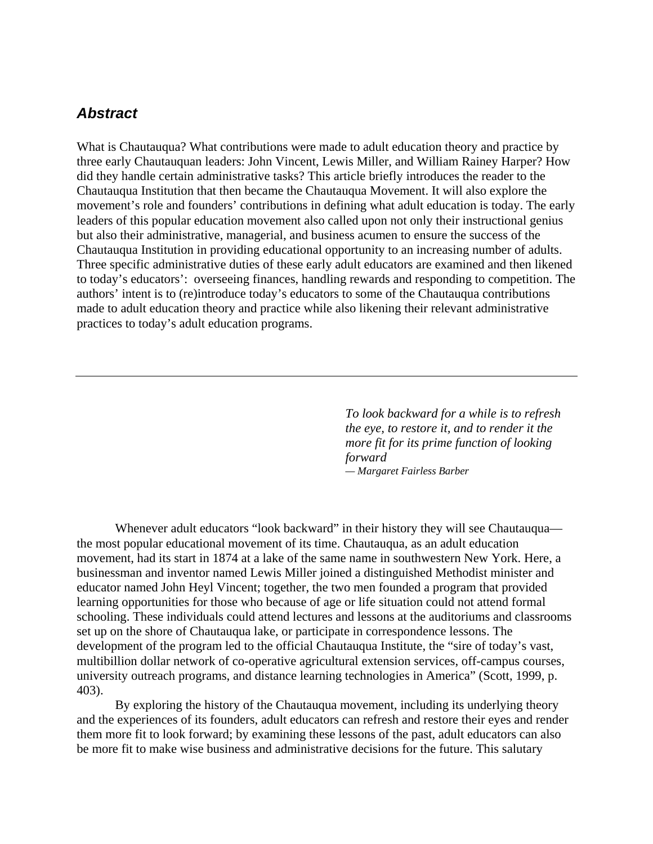## *Abstract*

What is Chautauqua? What contributions were made to adult education theory and practice by three early Chautauquan leaders: John Vincent, Lewis Miller, and William Rainey Harper? How did they handle certain administrative tasks? This article briefly introduces the reader to the Chautauqua Institution that then became the Chautauqua Movement. It will also explore the movement's role and founders' contributions in defining what adult education is today. The early leaders of this popular education movement also called upon not only their instructional genius but also their administrative, managerial, and business acumen to ensure the success of the Chautauqua Institution in providing educational opportunity to an increasing number of adults. Three specific administrative duties of these early adult educators are examined and then likened to today's educators': overseeing finances, handling rewards and responding to competition. The authors' intent is to (re)introduce today's educators to some of the Chautauqua contributions made to adult education theory and practice while also likening their relevant administrative practices to today's adult education programs.

> *To look backward for a while is to refresh the eye, to restore it, and to render it the more fit for its prime function of looking forward — Margaret Fairless Barber*

Whenever adult educators "look backward" in their history they will see Chautauqua the most popular educational movement of its time. Chautauqua, as an adult education movement, had its start in 1874 at a lake of the same name in southwestern New York. Here, a businessman and inventor named Lewis Miller joined a distinguished Methodist minister and educator named John Heyl Vincent; together, the two men founded a program that provided learning opportunities for those who because of age or life situation could not attend formal schooling. These individuals could attend lectures and lessons at the auditoriums and classrooms set up on the shore of Chautauqua lake, or participate in correspondence lessons. The development of the program led to the official Chautauqua Institute, the "sire of today's vast, multibillion dollar network of co-operative agricultural extension services, off-campus courses, university outreach programs, and distance learning technologies in America" (Scott, 1999, p. 403).

By exploring the history of the Chautauqua movement, including its underlying theory and the experiences of its founders, adult educators can refresh and restore their eyes and render them more fit to look forward; by examining these lessons of the past, adult educators can also be more fit to make wise business and administrative decisions for the future. This salutary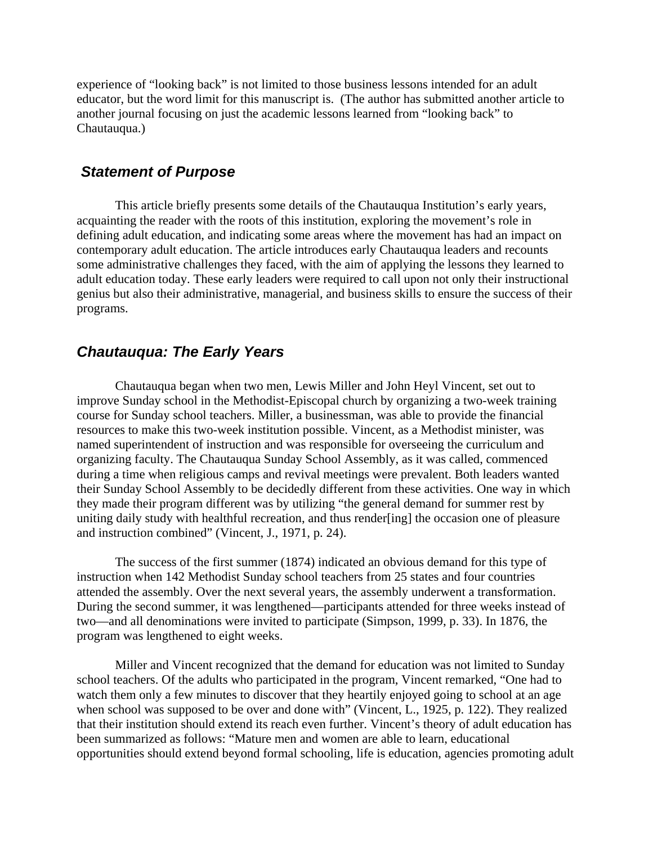experience of "looking back" is not limited to those business lessons intended for an adult educator, but the word limit for this manuscript is. (The author has submitted another article to another journal focusing on just the academic lessons learned from "looking back" to Chautauqua.)

# *Statement of Purpose*

This article briefly presents some details of the Chautauqua Institution's early years, acquainting the reader with the roots of this institution, exploring the movement's role in defining adult education, and indicating some areas where the movement has had an impact on contemporary adult education. The article introduces early Chautauqua leaders and recounts some administrative challenges they faced, with the aim of applying the lessons they learned to adult education today. These early leaders were required to call upon not only their instructional genius but also their administrative, managerial, and business skills to ensure the success of their programs.

# *Chautauqua: The Early Years*

Chautauqua began when two men, Lewis Miller and John Heyl Vincent, set out to improve Sunday school in the Methodist-Episcopal church by organizing a two-week training course for Sunday school teachers. Miller, a businessman, was able to provide the financial resources to make this two-week institution possible. Vincent, as a Methodist minister, was named superintendent of instruction and was responsible for overseeing the curriculum and organizing faculty. The Chautauqua Sunday School Assembly, as it was called, commenced during a time when religious camps and revival meetings were prevalent. Both leaders wanted their Sunday School Assembly to be decidedly different from these activities. One way in which they made their program different was by utilizing "the general demand for summer rest by uniting daily study with healthful recreation, and thus render[ing] the occasion one of pleasure and instruction combined" (Vincent, J., 1971, p. 24).

The success of the first summer (1874) indicated an obvious demand for this type of instruction when 142 Methodist Sunday school teachers from 25 states and four countries attended the assembly. Over the next several years, the assembly underwent a transformation. During the second summer, it was lengthened—participants attended for three weeks instead of two—and all denominations were invited to participate (Simpson, 1999, p. 33). In 1876, the program was lengthened to eight weeks.

Miller and Vincent recognized that the demand for education was not limited to Sunday school teachers. Of the adults who participated in the program, Vincent remarked, "One had to watch them only a few minutes to discover that they heartily enjoyed going to school at an age when school was supposed to be over and done with" (Vincent, L., 1925, p. 122). They realized that their institution should extend its reach even further. Vincent's theory of adult education has been summarized as follows: "Mature men and women are able to learn, educational opportunities should extend beyond formal schooling, life is education, agencies promoting adult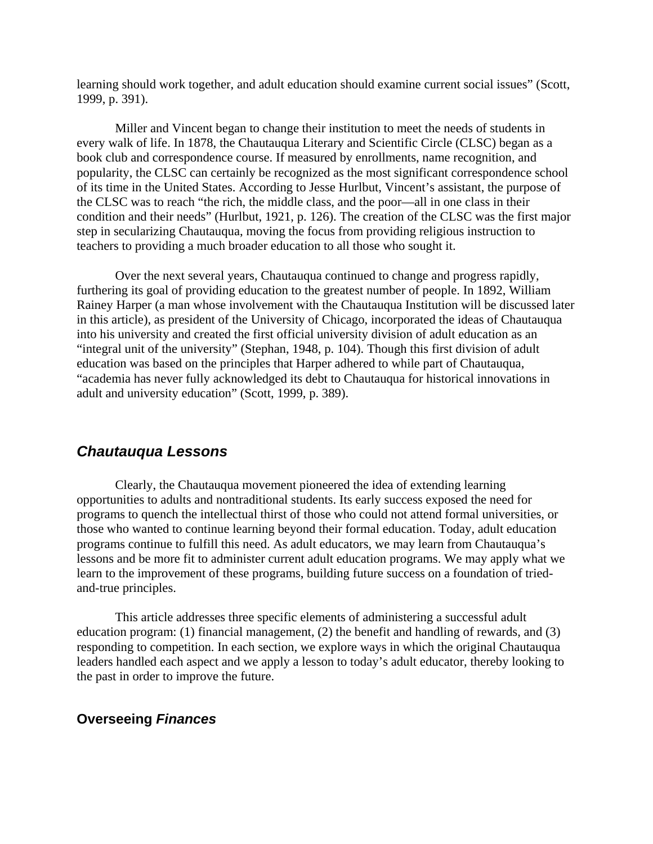learning should work together, and adult education should examine current social issues" (Scott, 1999, p. 391).

Miller and Vincent began to change their institution to meet the needs of students in every walk of life. In 1878, the Chautauqua Literary and Scientific Circle (CLSC) began as a book club and correspondence course. If measured by enrollments, name recognition, and popularity, the CLSC can certainly be recognized as the most significant correspondence school of its time in the United States. According to Jesse Hurlbut, Vincent's assistant, the purpose of the CLSC was to reach "the rich, the middle class, and the poor—all in one class in their condition and their needs" (Hurlbut, 1921, p. 126). The creation of the CLSC was the first major step in secularizing Chautauqua, moving the focus from providing religious instruction to teachers to providing a much broader education to all those who sought it.

Over the next several years, Chautauqua continued to change and progress rapidly, furthering its goal of providing education to the greatest number of people. In 1892, William Rainey Harper (a man whose involvement with the Chautauqua Institution will be discussed later in this article), as president of the University of Chicago, incorporated the ideas of Chautauqua into his university and created the first official university division of adult education as an "integral unit of the university" (Stephan, 1948, p. 104). Though this first division of adult education was based on the principles that Harper adhered to while part of Chautauqua, "academia has never fully acknowledged its debt to Chautauqua for historical innovations in adult and university education" (Scott, 1999, p. 389).

## *Chautauqua Lessons*

Clearly, the Chautauqua movement pioneered the idea of extending learning opportunities to adults and nontraditional students. Its early success exposed the need for programs to quench the intellectual thirst of those who could not attend formal universities, or those who wanted to continue learning beyond their formal education. Today, adult education programs continue to fulfill this need. As adult educators, we may learn from Chautauqua's lessons and be more fit to administer current adult education programs. We may apply what we learn to the improvement of these programs, building future success on a foundation of triedand-true principles.

This article addresses three specific elements of administering a successful adult education program: (1) financial management, (2) the benefit and handling of rewards, and (3) responding to competition. In each section, we explore ways in which the original Chautauqua leaders handled each aspect and we apply a lesson to today's adult educator, thereby looking to the past in order to improve the future.

#### **Overseeing** *Finances*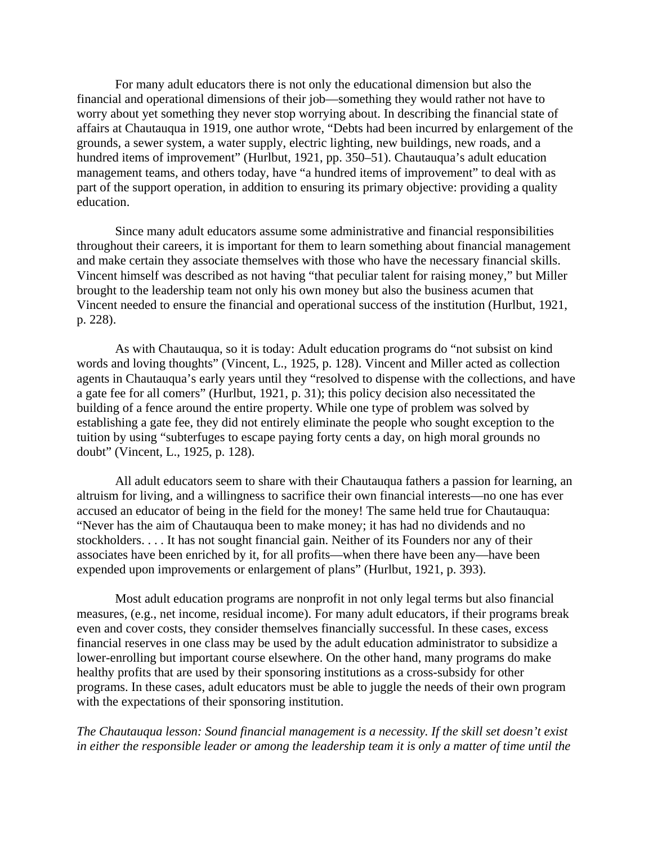For many adult educators there is not only the educational dimension but also the financial and operational dimensions of their job—something they would rather not have to worry about yet something they never stop worrying about. In describing the financial state of affairs at Chautauqua in 1919, one author wrote, "Debts had been incurred by enlargement of the grounds, a sewer system, a water supply, electric lighting, new buildings, new roads, and a hundred items of improvement" (Hurlbut, 1921, pp. 350–51). Chautauqua's adult education management teams, and others today, have "a hundred items of improvement" to deal with as part of the support operation, in addition to ensuring its primary objective: providing a quality education.

Since many adult educators assume some administrative and financial responsibilities throughout their careers, it is important for them to learn something about financial management and make certain they associate themselves with those who have the necessary financial skills. Vincent himself was described as not having "that peculiar talent for raising money," but Miller brought to the leadership team not only his own money but also the business acumen that Vincent needed to ensure the financial and operational success of the institution (Hurlbut, 1921, p. 228).

As with Chautauqua, so it is today: Adult education programs do "not subsist on kind words and loving thoughts" (Vincent, L., 1925, p. 128). Vincent and Miller acted as collection agents in Chautauqua's early years until they "resolved to dispense with the collections, and have a gate fee for all comers" (Hurlbut, 1921, p. 31); this policy decision also necessitated the building of a fence around the entire property. While one type of problem was solved by establishing a gate fee, they did not entirely eliminate the people who sought exception to the tuition by using "subterfuges to escape paying forty cents a day, on high moral grounds no doubt" (Vincent, L., 1925, p. 128).

All adult educators seem to share with their Chautauqua fathers a passion for learning, an altruism for living, and a willingness to sacrifice their own financial interests—no one has ever accused an educator of being in the field for the money! The same held true for Chautauqua: "Never has the aim of Chautauqua been to make money; it has had no dividends and no stockholders. . . . It has not sought financial gain. Neither of its Founders nor any of their associates have been enriched by it, for all profits—when there have been any—have been expended upon improvements or enlargement of plans" (Hurlbut, 1921, p. 393).

Most adult education programs are nonprofit in not only legal terms but also financial measures, (e.g., net income, residual income). For many adult educators, if their programs break even and cover costs, they consider themselves financially successful. In these cases, excess financial reserves in one class may be used by the adult education administrator to subsidize a lower-enrolling but important course elsewhere. On the other hand, many programs do make healthy profits that are used by their sponsoring institutions as a cross-subsidy for other programs. In these cases, adult educators must be able to juggle the needs of their own program with the expectations of their sponsoring institution.

*The Chautauqua lesson: Sound financial management is a necessity. If the skill set doesn't exist in either the responsible leader or among the leadership team it is only a matter of time until the*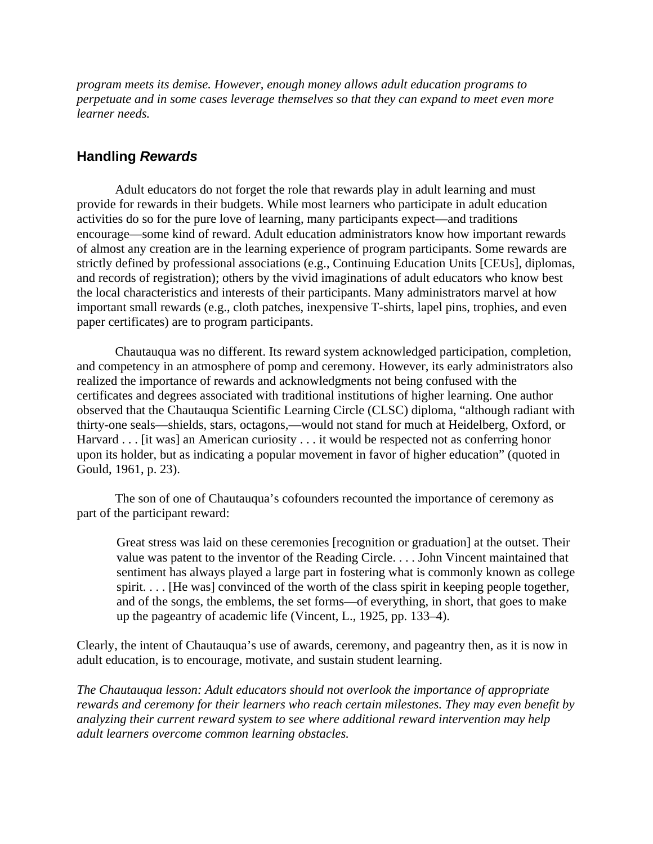*program meets its demise. However, enough money allows adult education programs to perpetuate and in some cases leverage themselves so that they can expand to meet even more learner needs.* 

#### **Handling** *Rewards*

Adult educators do not forget the role that rewards play in adult learning and must provide for rewards in their budgets. While most learners who participate in adult education activities do so for the pure love of learning, many participants expect—and traditions encourage—some kind of reward. Adult education administrators know how important rewards of almost any creation are in the learning experience of program participants. Some rewards are strictly defined by professional associations (e.g., Continuing Education Units [CEUs], diplomas, and records of registration); others by the vivid imaginations of adult educators who know best the local characteristics and interests of their participants. Many administrators marvel at how important small rewards (e.g., cloth patches, inexpensive T-shirts, lapel pins, trophies, and even paper certificates) are to program participants.

Chautauqua was no different. Its reward system acknowledged participation, completion, and competency in an atmosphere of pomp and ceremony. However, its early administrators also realized the importance of rewards and acknowledgments not being confused with the certificates and degrees associated with traditional institutions of higher learning. One author observed that the Chautauqua Scientific Learning Circle (CLSC) diploma, "although radiant with thirty-one seals—shields, stars, octagons,—would not stand for much at Heidelberg, Oxford, or Harvard . . . [it was] an American curiosity . . . it would be respected not as conferring honor upon its holder, but as indicating a popular movement in favor of higher education" (quoted in Gould, 1961, p. 23).

The son of one of Chautauqua's cofounders recounted the importance of ceremony as part of the participant reward:

Great stress was laid on these ceremonies [recognition or graduation] at the outset. Their value was patent to the inventor of the Reading Circle. . . . John Vincent maintained that sentiment has always played a large part in fostering what is commonly known as college spirit. . . . [He was] convinced of the worth of the class spirit in keeping people together, and of the songs, the emblems, the set forms—of everything, in short, that goes to make up the pageantry of academic life (Vincent, L., 1925, pp. 133–4).

Clearly, the intent of Chautauqua's use of awards, ceremony, and pageantry then, as it is now in adult education, is to encourage, motivate, and sustain student learning.

*The Chautauqua lesson: Adult educators should not overlook the importance of appropriate rewards and ceremony for their learners who reach certain milestones. They may even benefit by analyzing their current reward system to see where additional reward intervention may help adult learners overcome common learning obstacles.*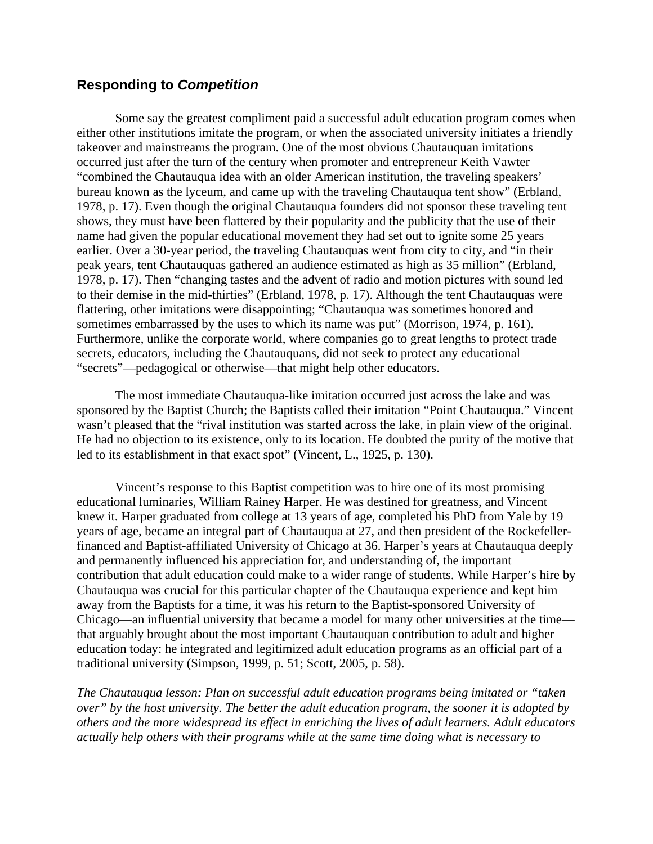### **Responding to** *Competition*

Some say the greatest compliment paid a successful adult education program comes when either other institutions imitate the program, or when the associated university initiates a friendly takeover and mainstreams the program. One of the most obvious Chautauquan imitations occurred just after the turn of the century when promoter and entrepreneur Keith Vawter "combined the Chautauqua idea with an older American institution, the traveling speakers' bureau known as the lyceum, and came up with the traveling Chautauqua tent show" (Erbland, 1978, p. 17). Even though the original Chautauqua founders did not sponsor these traveling tent shows, they must have been flattered by their popularity and the publicity that the use of their name had given the popular educational movement they had set out to ignite some 25 years earlier. Over a 30-year period, the traveling Chautauquas went from city to city, and "in their peak years, tent Chautauquas gathered an audience estimated as high as 35 million" (Erbland, 1978, p. 17). Then "changing tastes and the advent of radio and motion pictures with sound led to their demise in the mid-thirties" (Erbland, 1978, p. 17). Although the tent Chautauquas were flattering, other imitations were disappointing; "Chautauqua was sometimes honored and sometimes embarrassed by the uses to which its name was put" (Morrison, 1974, p. 161). Furthermore, unlike the corporate world, where companies go to great lengths to protect trade secrets, educators, including the Chautauquans, did not seek to protect any educational "secrets"—pedagogical or otherwise—that might help other educators.

The most immediate Chautauqua-like imitation occurred just across the lake and was sponsored by the Baptist Church; the Baptists called their imitation "Point Chautauqua." Vincent wasn't pleased that the "rival institution was started across the lake, in plain view of the original. He had no objection to its existence, only to its location. He doubted the purity of the motive that led to its establishment in that exact spot" (Vincent, L., 1925, p. 130).

Vincent's response to this Baptist competition was to hire one of its most promising educational luminaries, William Rainey Harper. He was destined for greatness, and Vincent knew it. Harper graduated from college at 13 years of age, completed his PhD from Yale by 19 years of age, became an integral part of Chautauqua at 27, and then president of the Rockefellerfinanced and Baptist-affiliated University of Chicago at 36. Harper's years at Chautauqua deeply and permanently influenced his appreciation for, and understanding of, the important contribution that adult education could make to a wider range of students. While Harper's hire by Chautauqua was crucial for this particular chapter of the Chautauqua experience and kept him away from the Baptists for a time, it was his return to the Baptist-sponsored University of Chicago—an influential university that became a model for many other universities at the time that arguably brought about the most important Chautauquan contribution to adult and higher education today: he integrated and legitimized adult education programs as an official part of a traditional university (Simpson, 1999, p. 51; Scott, 2005, p. 58).

*The Chautauqua lesson: Plan on successful adult education programs being imitated or "taken over" by the host university. The better the adult education program, the sooner it is adopted by others and the more widespread its effect in enriching the lives of adult learners. Adult educators actually help others with their programs while at the same time doing what is necessary to*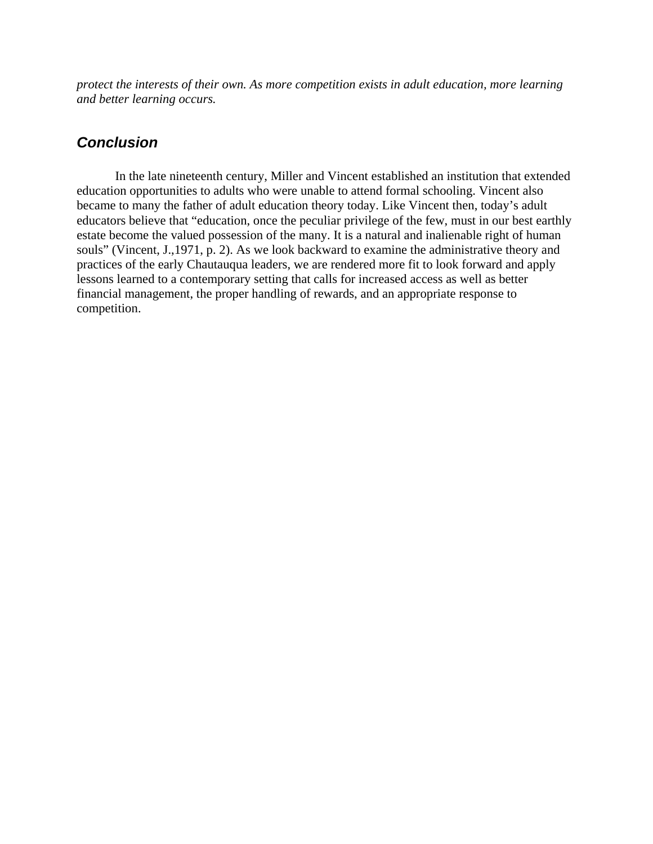*protect the interests of their own. As more competition exists in adult education, more learning and better learning occurs.* 

## *Conclusion*

In the late nineteenth century, Miller and Vincent established an institution that extended education opportunities to adults who were unable to attend formal schooling. Vincent also became to many the father of adult education theory today. Like Vincent then, today's adult educators believe that "education, once the peculiar privilege of the few, must in our best earthly estate become the valued possession of the many. It is a natural and inalienable right of human souls" (Vincent, J.,1971, p. 2). As we look backward to examine the administrative theory and practices of the early Chautauqua leaders, we are rendered more fit to look forward and apply lessons learned to a contemporary setting that calls for increased access as well as better financial management, the proper handling of rewards, and an appropriate response to competition.